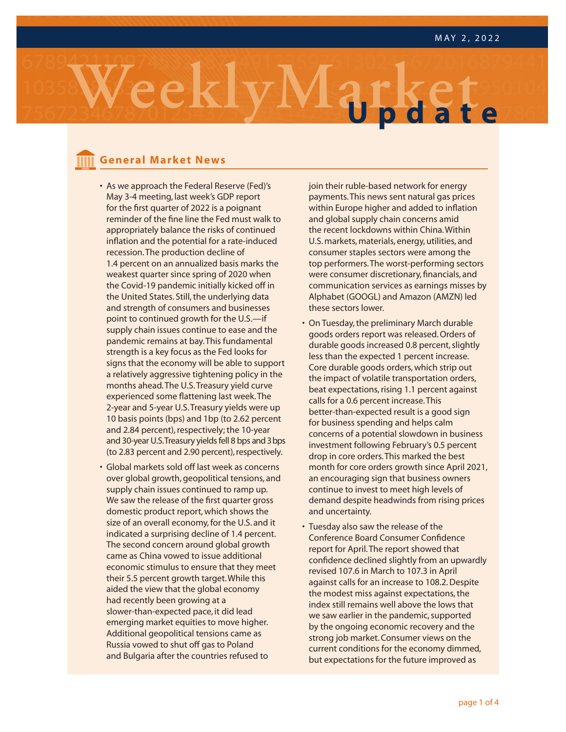

### **General Market News**

- **General Market News** • As we approach the Federal Reserve (Fed)'s May 3-4 meeting, last week's GDP report for the first quarter of 2022 is a poignant reminder of the fine line the Fed must walk to appropriately balance the risks of continued inflation and the potential for a rate-induced recession. The production decline of 1.4 percent on an annualized basis marks the weakest quarter since spring of 2020 when the Covid-19 pandemic initially kicked off in the United States. Still, the underlying data and strength of consumers and businesses point to continued growth for the U.S.—if supply chain issues continue to ease and the pandemic remains at bay. This fundamental strength is a key focus as the Fed looks for signs that the economy will be able to support a relatively aggressive tightening policy in the months ahead. The U.S. Treasury yield curve experienced some flattening last week. The 2-year and 5-year U.S. Treasury yields were up 10 basis points (bps) and 1bp (to 2.62 percent and 2.84 percent), respectively; the 10-year and 30-year U.S. Treasury yields fell 8 bps and 3 bps (to 2.83 percent and 2.90 percent), respectively.
- Global markets sold off last week as concerns over global growth, geopolitical tensions, and supply chain issues continued to ramp up. We saw the release of the first quarter gross domestic product report, which shows the size of an overall economy, for the U.S. and it indicated a surprising decline of 1.4 percent. The second concern around global growth came as China vowed to issue additional economic stimulus to ensure that they meet their 5.5 percent growth target. While this aided the view that the global economy had recently been growing at a slower-than-expected pace, it did lead emerging market equities to move higher. Additional geopolitical tensions came as Russia vowed to shut off gas to Poland and Bulgaria after the countries refused to

join their ruble-based network for energy payments. This news sent natural gas prices within Europe higher and added to inflation and global supply chain concerns amid the recent lockdowns within China. Within U.S. markets, materials, energy, utilities, and consumer staples sectors were among the top performers. The worst-performing sectors were consumer discretionary, financials, and communication services as earnings misses by Alphabet (GOOGL) and Amazon (AMZN) led these sectors lower.

- On Tuesday, the preliminary March durable goods orders report was released. Orders of durable goods increased 0.8 percent, slightly less than the expected 1 percent increase. Core durable goods orders, which strip out the impact of volatile transportation orders, beat expectations, rising 1.1 percent against calls for a 0.6 percent increase. This better-than-expected result is a good sign for business spending and helps calm concerns of a potential slowdown in business investment following February's 0.5 percent drop in core orders. This marked the best month for core orders growth since April 2021, an encouraging sign that business owners continue to invest to meet high levels of demand despite headwinds from rising prices and uncertainty.
- Tuesday also saw the release of the Conference Board Consumer Confidence report for April. The report showed that confidence declined slightly from an upwardly revised 107.6 in March to 107.3 in April against calls for an increase to 108.2. Despite the modest miss against expectations, the index still remains well above the lows that we saw earlier in the pandemic, supported by the ongoing economic recovery and the strong job market. Consumer views on the current conditions for the economy dimmed, but expectations for the future improved as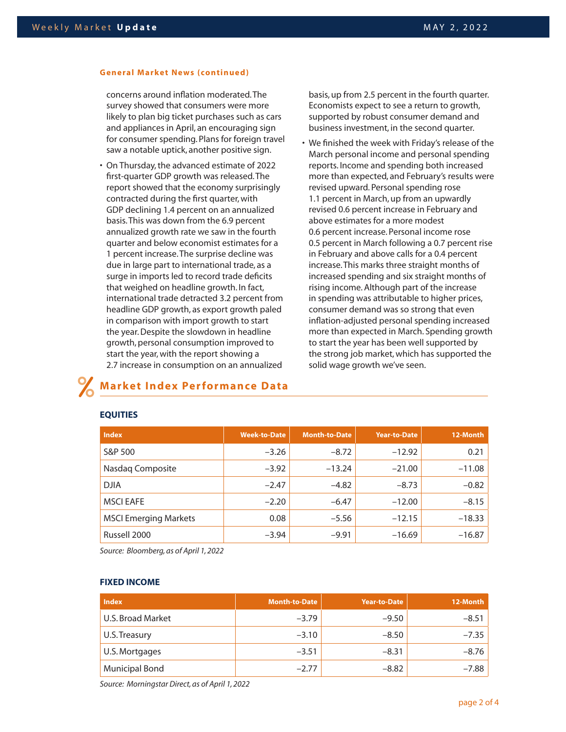#### **General Market News (continued)**

concerns around inflation moderated. The survey showed that consumers were more likely to plan big ticket purchases such as cars and appliances in April, an encouraging sign for consumer spending. Plans for foreign travel saw a notable uptick, another positive sign.

• On Thursday, the advanced estimate of 2022 first-quarter GDP growth was released. The report showed that the economy surprisingly contracted during the first quarter, with GDP declining 1.4 percent on an annualized basis. This was down from the 6.9 percent annualized growth rate we saw in the fourth quarter and below economist estimates for a 1 percent increase. The surprise decline was due in large part to international trade, as a surge in imports led to record trade deficits that weighed on headline growth. In fact, international trade detracted 3.2 percent from headline GDP growth, as export growth paled in comparison with import growth to start the year. Despite the slowdown in headline growth, personal consumption improved to start the year, with the report showing a 2.7 increase in consumption on an annualized

**Market Index Performance Data**

basis, up from 2.5 percent in the fourth quarter. Economists expect to see a return to growth, supported by robust consumer demand and business investment, in the second quarter.

We finished the week with Friday's release of the March personal income and personal spending reports. Income and spending both increased more than expected, and February's results were revised upward. Personal spending rose 1.1 percent in March, up from an upwardly revised 0.6 percent increase in February and above estimates for a more modest 0.6 percent increase. Personal income rose 0.5 percent in March following a 0.7 percent rise in February and above calls for a 0.4 percent increase. This marks three straight months of increased spending and six straight months of rising income. Although part of the increase in spending was attributable to higher prices, consumer demand was so strong that even inflation-adjusted personal spending increased more than expected in March. Spending growth to start the year has been well supported by the strong job market, which has supported the solid wage growth we've seen.

| <b>Index</b>                 | <b>Week-to-Date</b> | <b>Month-to-Date</b> | <b>Year-to-Date</b> | 12-Month |
|------------------------------|---------------------|----------------------|---------------------|----------|
| S&P 500                      | $-3.26$             | $-8.72$              | $-12.92$            | 0.21     |
| Nasdaq Composite             | $-3.92$             | $-13.24$             | $-21.00$            | $-11.08$ |
| <b>DJIA</b>                  | $-2.47$             | $-4.82$              | $-8.73$             | $-0.82$  |
| <b>MSCI EAFE</b>             | $-2.20$             | $-6.47$              | $-12.00$            | $-8.15$  |
| <b>MSCI Emerging Markets</b> | 0.08                | $-5.56$              | $-12.15$            | $-18.33$ |
| Russell 2000                 | $-3.94$             | $-9.91$              | $-16.69$            | $-16.87$ |

#### **EQUITIES**

*Source: Bloomberg, as of April 1, 2022*

#### **FIXED INCOME**

| <b>Index</b>          | <b>Month-to-Date</b> | <b>Year-to-Date</b> | 12-Month |
|-----------------------|----------------------|---------------------|----------|
| U.S. Broad Market     | $-3.79$              | $-9.50$             | $-8.51$  |
| U.S. Treasury         | $-3.10$              | $-8.50$             | $-7.35$  |
| U.S. Mortgages        | $-3.51$              | $-8.31$             | $-8.76$  |
| <b>Municipal Bond</b> | $-2.77$              | $-8.82$             | $-7.88$  |

*Source: Morningstar Direct, as of April 1, 2022*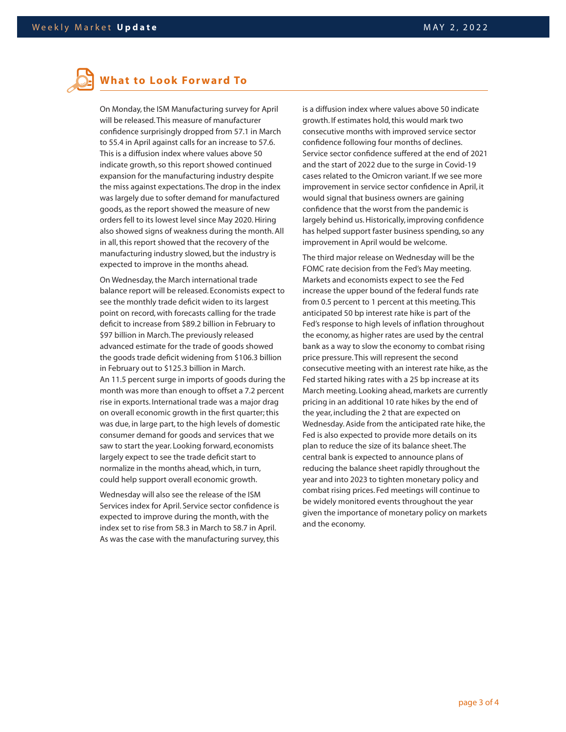# **What to Look Forward To**

On Monday, the ISM Manufacturing survey for April will be released. This measure of manufacturer confidence surprisingly dropped from 57.1 in March to 55.4 in April against calls for an increase to 57.6. This is a diffusion index where values above 50 indicate growth, so this report showed continued expansion for the manufacturing industry despite the miss against expectations. The drop in the index was largely due to softer demand for manufactured goods, as the report showed the measure of new orders fell to its lowest level since May 2020. Hiring also showed signs of weakness during the month. All in all, this report showed that the recovery of the manufacturing industry slowed, but the industry is expected to improve in the months ahead.

On Wednesday, the March international trade balance report will be released. Economists expect to see the monthly trade deficit widen to its largest point on record, with forecasts calling for the trade deficit to increase from \$89.2 billion in February to \$97 billion in March. The previously released advanced estimate for the trade of goods showed the goods trade deficit widening from \$106.3 billion in February out to \$125.3 billion in March. An 11.5 percent surge in imports of goods during the month was more than enough to offset a 7.2 percent rise in exports. International trade was a major drag on overall economic growth in the first quarter; this was due, in large part, to the high levels of domestic consumer demand for goods and services that we saw to start the year. Looking forward, economists largely expect to see the trade deficit start to normalize in the months ahead, which, in turn, could help support overall economic growth.

As was the case with the manufacturing survey, this **provistions, and are based on our reasonable expectations** Wednesday will also see the release of the ISM Services index for April. Service sector confidence is expected to improve during the month, with the index set to rise from 58.3 in March to 58.7 in April.

is a diffusion index where values above 50 indicate growth. If estimates hold, this would mark two consecutive months with improved service sector confidence following four months of declines. Service sector confidence suffered at the end of 2021 and the start of 2022 due to the surge in Covid-19 cases related to the Omicron variant. If we see more improvement in service sector confidence in April, it would signal that business owners are gaining confidence that the worst from the pandemic is largely behind us. Historically, improving confidence has helped support faster business spending, so any improvement in April would be welcome.

The third major release on Wednesday will be the FOMC rate decision from the Fed's May meeting. Markets and economists expect to see the Fed increase the upper bound of the federal funds rate from 0.5 percent to 1 percent at this meeting. This anticipated 50 bp interest rate hike is part of the Fed's response to high levels of inflation throughout the economy, as higher rates are used by the central bank as a way to slow the economy to combat rising price pressure. This will represent the second consecutive meeting with an interest rate hike, as the Fed started hiking rates with a 25 bp increase at its March meeting. Looking ahead, markets are currently pricing in an additional 10 rate hikes by the end of the year, including the 2 that are expected on Wednesday. Aside from the anticipated rate hike, the Fed is also expected to provide more details on its plan to reduce the size of its balance sheet. The central bank is expected to announce plans of reducing the balance sheet rapidly throughout the year and into 2023 to tighten monetary policy and combat rising prices. Fed meetings will continue to be widely monitored events throughout the year given the importance of monetary policy on markets and the economy.